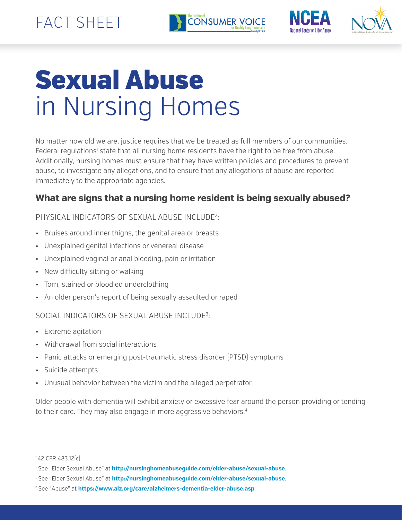



# Sexual Abuse in Nursing Homes

No matter how old we are, justice requires that we be treated as full members of our communities. Federal regulations<sup>1</sup> state that all nursing home residents have the right to be free from abuse. Additionally, nursing homes must ensure that they have written policies and procedures to prevent abuse, to investigate any allegations, and to ensure that any allegations of abuse are reported immediately to the appropriate agencies.

# **What are signs that a nursing home resident is being sexually abused?**

### PHYSICAL INDICATORS OF SEXUAL ABUSE INCLUDE2 :

- Bruises around inner thighs, the genital area or breasts
- Unexplained genital infections or venereal disease
- Unexplained vaginal or anal bleeding, pain or irritation
- New difficulty sitting or walking
- Torn, stained or bloodied underclothing
- An older person's report of being sexually assaulted or raped

#### SOCIAL INDICATORS OF SEXUAL ABUSE INCLUDE3 :

- Extreme agitation
- Withdrawal from social interactions
- Panic attacks or emerging post-traumatic stress disorder (PTSD) symptoms
- Suicide attempts
- Unusual behavior between the victim and the alleged perpetrator

Older people with dementia will exhibit anxiety or excessive fear around the person providing or tending to their care. They may also engage in more aggressive behaviors.4

<sup>1 42</sup> CFR 483.12(c)

<sup>2</sup> See "Elder Sexual Abuse" at **http://nursinghomeabuseguide.com/elder-abuse/sexual-abuse**.

<sup>3</sup> See "Elder Sexual Abuse" at **http://nursinghomeabuseguide.com/elder-abuse/sexual-abuse**.

<sup>4</sup> See "Abuse" at **https://www.alz.org/care/alzheimers-dementia-elder-abuse.asp**.